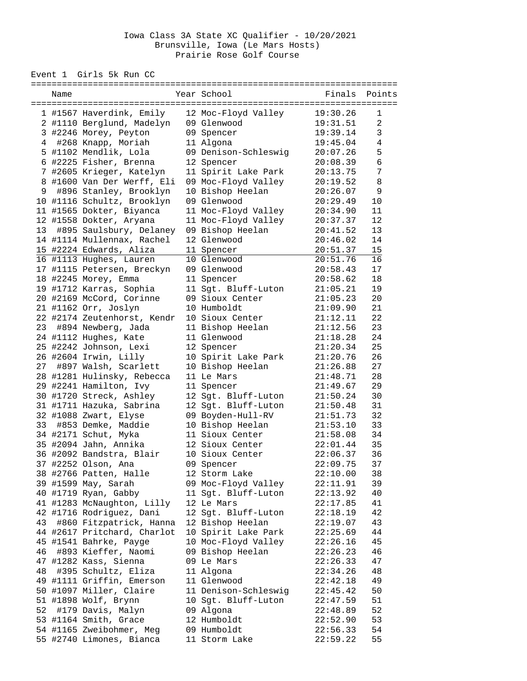## Iowa Class 3A State XC Qualifier - 10/20/2021 Brunsville, Iowa (Le Mars Hosts) Prairie Rose Golf Course

Event 1 Girls 5k Run CC

|    | Name |                             |  | Year School          | Finals   | Points         |  |  |
|----|------|-----------------------------|--|----------------------|----------|----------------|--|--|
|    |      | 1 #1567 Haverdink, Emily    |  | 12 Moc-Floyd Valley  | 19:30.26 | 1              |  |  |
|    |      | 2 #1110 Berglund, Madelyn   |  | 09 Glenwood          | 19:31.51 | $\overline{2}$ |  |  |
|    |      | 3 #2246 Morey, Peyton       |  | 09 Spencer           | 19:39.14 | 3              |  |  |
|    |      | 4 #268 Knapp, Moriah        |  | 11 Algona            | 19:45.04 | $\sqrt{4}$     |  |  |
|    |      | 5 #1102 Mendlik, Lola       |  | 09 Denison-Schleswig | 20:07.26 | 5              |  |  |
|    |      | 6 #2225 Fisher, Brenna      |  | 12 Spencer           | 20:08.39 | $\epsilon$     |  |  |
|    |      | 7 #2605 Krieger, Katelyn    |  | 11 Spirit Lake Park  | 20:13.75 | 7              |  |  |
|    |      | 8 #1600 Van Der Werff, Eli  |  | 09 Moc-Floyd Valley  | 20:19.52 | 8              |  |  |
| 9  |      | #896 Stanley, Brooklyn      |  | 10 Bishop Heelan     | 20:26.07 | 9              |  |  |
|    |      | 10 #1116 Schultz, Brooklyn  |  | 09 Glenwood          | 20:29.49 | 10             |  |  |
|    |      | 11 #1565 Dokter, Biyanca    |  | 11 Moc-Floyd Valley  | 20:34.90 | 11             |  |  |
|    |      | 12 #1558 Dokter, Aryana     |  | 11 Moc-Floyd Valley  | 20:37.37 | 12             |  |  |
| 13 |      | #895 Saulsbury, Delaney     |  | 09 Bishop Heelan     | 20:41.52 | 13             |  |  |
|    |      | 14 #1114 Mullennax, Rachel  |  | 12 Glenwood          | 20:46.02 | 14             |  |  |
|    |      | 15 #2224 Edwards, Aliza     |  | 11 Spencer           | 20:51.37 | 15             |  |  |
|    |      | 16 #1113 Hughes, Lauren     |  | 10 Glenwood          | 20:51.76 | 16             |  |  |
|    |      | 17 #1115 Petersen, Breckyn  |  | 09 Glenwood          | 20:58.43 | 17             |  |  |
|    |      | 18 #2245 Morey, Emma        |  | 11 Spencer           | 20:58.62 | 18             |  |  |
|    |      | 19 #1712 Karras, Sophia     |  | 11 Sgt. Bluff-Luton  | 21:05.21 | 19             |  |  |
|    |      | 20 #2169 McCord, Corinne    |  | 09 Sioux Center      | 21:05.23 | 20             |  |  |
|    |      | 21 #1162 Orr, Joslyn        |  | 10 Humboldt          | 21:09.90 | 21             |  |  |
|    |      | 22 #2174 Zeutenhorst, Kendr |  | 10 Sioux Center      | 21:12.11 | 22             |  |  |
|    |      | 23 #894 Newberg, Jada       |  | 11 Bishop Heelan     | 21:12.56 | 23             |  |  |
|    |      | 24 #1112 Hughes, Kate       |  | 11 Glenwood          | 21:18.28 | 24             |  |  |
|    |      | 25 #2242 Johnson, Lexi      |  | 12 Spencer           | 21:20.34 | 25             |  |  |
|    |      | 26 #2604 Irwin, Lilly       |  | 10 Spirit Lake Park  | 21:20.76 | 26             |  |  |
|    |      | 27 #897 Walsh, Scarlett     |  | 10 Bishop Heelan     | 21:26.88 | 27             |  |  |
|    |      | 28 #1281 Hulinsky, Rebecca  |  | 11 Le Mars           | 21:48.71 | 28             |  |  |
|    |      | 29 #2241 Hamilton, Ivy      |  | 11 Spencer           | 21:49.67 | 29             |  |  |
|    |      | 30 #1720 Streck, Ashley     |  | 12 Sgt. Bluff-Luton  | 21:50.24 | 30             |  |  |
|    |      | 31 #1711 Hazuka, Sabrina    |  | 12 Sgt. Bluff-Luton  | 21:50.48 | 31             |  |  |
|    |      | 32 #1088 Zwart, Elyse       |  | 09 Boyden-Hull-RV    | 21:51.73 | 32             |  |  |
| 33 |      | #853 Demke, Maddie          |  | 10 Bishop Heelan     | 21:53.10 | 33             |  |  |
|    |      | 34 #2171 Schut, Myka        |  | 11 Sioux Center      | 21:58.08 | 34             |  |  |
|    |      | 35 #2094 Jahn, Annika       |  | 12 Sioux Center      | 22:01.44 | 35             |  |  |
|    |      | 36 #2092 Bandstra, Blair    |  | 10 Sioux Center      | 22:06.37 | 36             |  |  |
|    |      | 37 #2252 Olson, Ana         |  | 09 Spencer           | 22:09.75 | 37             |  |  |
|    |      | 38 #2766 Patten, Halle      |  | 12 Storm Lake        | 22:10.00 | 38             |  |  |
|    |      | 39 #1599 May, Sarah         |  | 09 Moc-Floyd Valley  | 22:11.91 | 39             |  |  |
|    |      | 40 #1719 Ryan, Gabby        |  | 11 Sgt. Bluff-Luton  | 22:13.92 | 40             |  |  |
|    |      | 41 #1283 McNaughton, Lilly  |  | 12 Le Mars           | 22:17.85 | 41             |  |  |
|    |      | 42 #1716 Rodriguez, Dani    |  | 12 Sgt. Bluff-Luton  | 22:18.19 | 42             |  |  |
| 43 |      | #860 Fitzpatrick, Hanna     |  | 12 Bishop Heelan     | 22:19.07 | 43             |  |  |
|    |      | 44 #2617 Pritchard, Charlot |  | 10 Spirit Lake Park  | 22:25.69 | 44             |  |  |
|    |      | 45 #1541 Bahrke, Payge      |  | 10 Moc-Floyd Valley  | 22:26.16 | 45             |  |  |
| 46 |      | #893 Kieffer, Naomi         |  | 09 Bishop Heelan     | 22:26.23 | 46             |  |  |
|    |      | 47 #1282 Kass, Sienna       |  | 09 Le Mars           | 22:26.33 | 47             |  |  |
| 48 |      | #395 Schultz, Eliza         |  | 11 Algona            | 22:34.26 | 48             |  |  |
|    |      | 49 #1111 Griffin, Emerson   |  | 11 Glenwood          | 22:42.18 | 49             |  |  |
|    |      | 50 #1097 Miller, Claire     |  | 11 Denison-Schleswig | 22:45.42 | 50             |  |  |
|    |      | 51 #1898 Wolf, Brynn        |  | 10 Sgt. Bluff-Luton  | 22:47.59 | 51             |  |  |
| 52 |      | #179 Davis, Malyn           |  | 09 Algona            | 22:48.89 | 52             |  |  |
|    |      | 53 #1164 Smith, Grace       |  | 12 Humboldt          | 22:52.90 | 53             |  |  |
|    |      | 54 #1165 Zweibohmer, Meg    |  | 09 Humboldt          | 22:56.33 | 54             |  |  |
|    |      | 55 #2740 Limones, Bianca    |  | 11 Storm Lake        | 22:59.22 | 55             |  |  |
|    |      |                             |  |                      |          |                |  |  |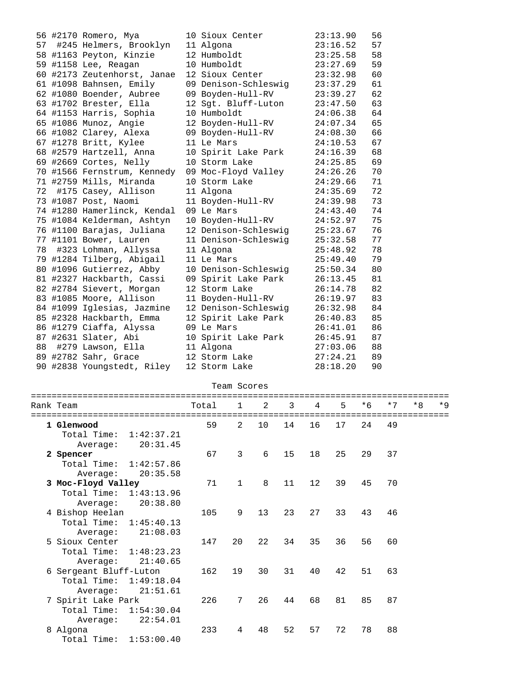|    | 56 #2170 Romero, Mya        | 10 Sioux Center      | 23:13.90 | 56 |
|----|-----------------------------|----------------------|----------|----|
| 57 | #245 Helmers, Brooklyn      | 11 Algona            | 23:16.52 | 57 |
|    | 58 #1163 Peyton, Kinzie     | 12 Humboldt          | 23:25.58 | 58 |
|    | 59 #1158 Lee, Reagan        | 10 Humboldt          | 23:27.69 | 59 |
|    | 60 #2173 Zeutenhorst, Janae | 12 Sioux Center      | 23:32.98 | 60 |
|    | 61 #1098 Bahnsen, Emily     | 09 Denison-Schleswig | 23:37.29 | 61 |
|    | 62 #1080 Boender, Aubree    | 09 Boyden-Hull-RV    | 23:39.27 | 62 |
|    | 63 #1702 Brester, Ella      | 12 Sgt. Bluff-Luton  | 23:47.50 | 63 |
|    | 64 #1153 Harris, Sophia     | 10 Humboldt          | 24:06.38 | 64 |
|    | 65 #1086 Munoz, Angie       | 12 Boyden-Hull-RV    | 24:07.34 | 65 |
|    | 66 #1082 Clarey, Alexa      | 09 Boyden-Hull-RV    | 24:08.30 | 66 |
|    | 67 #1278 Britt, Kylee       | 11 Le Mars           | 24:10.53 | 67 |
|    | 68 #2579 Hartzell, Anna     | 10 Spirit Lake Park  | 24:16.39 | 68 |
|    | 69 #2669 Cortes, Nelly      | 10 Storm Lake        | 24:25.85 | 69 |
|    | 70 #1566 Fernstrum, Kennedy | 09 Moc-Floyd Valley  | 24:26.26 | 70 |
|    | 71 #2759 Mills, Miranda     | 10 Storm Lake        | 24:29.66 | 71 |
| 72 | #175 Casey, Allison         | 11 Algona            | 24:35.69 | 72 |
|    | 73 #1087 Post, Naomi        | 11 Boyden-Hull-RV    | 24:39.98 | 73 |
|    | 74 #1280 Hamerlinck, Kendal | 09 Le Mars           | 24:43.40 | 74 |
|    | 75 #1084 Kelderman, Ashtyn  | 10 Boyden-Hull-RV    | 24:52.97 | 75 |
|    | 76 #1100 Barajas, Juliana   | 12 Denison-Schleswig | 25:23.67 | 76 |
|    | 77 #1101 Bower, Lauren      | 11 Denison-Schleswig | 25:32.58 | 77 |
| 78 | #323 Lohman, Allyssa        | 11 Algona            | 25:48.92 | 78 |
|    | 79 #1284 Tilberg, Abigail   | 11 Le Mars           | 25:49.40 | 79 |
|    | 80 #1096 Gutierrez, Abby    | 10 Denison-Schleswig | 25:50.34 | 80 |
|    | 81 #2327 Hackbarth, Cassi   | 09 Spirit Lake Park  | 26:13.45 | 81 |
|    | 82 #2784 Sievert, Morgan    | 12 Storm Lake        | 26:14.78 | 82 |
|    | 83 #1085 Moore, Allison     | 11 Boyden-Hull-RV    | 26:19.97 | 83 |
|    | 84 #1099 Iglesias, Jazmine  | 12 Denison-Schleswig | 26:32.98 | 84 |
|    | 85 #2328 Hackbarth, Emma    | 12 Spirit Lake Park  | 26:40.83 | 85 |
|    | 86 #1279 Ciaffa, Alyssa     | 09 Le Mars           | 26:41.01 | 86 |
|    | 87 #2631 Slater, Abi        | 10 Spirit Lake Park  | 26:45.91 | 87 |
| 88 | #279 Lawson, Ella           | 11 Algona            | 27:03.06 | 88 |
|    | 89 #2782 Sahr, Grace        | 12 Storm Lake        | 27:24.21 | 89 |
|    | 90 #2838 Youngstedt, Riley  | 12 Storm Lake        | 28:18.20 | 90 |

| Team Scores |  |
|-------------|--|
|-------------|--|

|  | Rank Team                 | Total | $\sim$ 1       | 2  | 3  | $\overline{4}$ | 5  | $*6$ | $*7$ | $*R$ | $*$ 9 |
|--|---------------------------|-------|----------------|----|----|----------------|----|------|------|------|-------|
|  |                           |       |                |    |    |                |    |      |      |      |       |
|  | 1 Glenwood                | 59    | $\overline{2}$ | 10 | 14 | 16             | 17 | 24   | 49   |      |       |
|  | Total Time:<br>1:42:37.21 |       |                |    |    |                |    |      |      |      |       |
|  | 20:31.45<br>Average:      |       |                |    |    |                |    |      |      |      |       |
|  | 2 Spencer                 | 67    | $\overline{3}$ | 6  | 15 | 18             | 25 | 29   | 37   |      |       |
|  | Total Time: 1:42:57.86    |       |                |    |    |                |    |      |      |      |       |
|  | 20:35.58<br>Average:      |       |                |    |    |                |    |      |      |      |       |
|  | 3 Moc-Floyd Valley        | 71    | $\mathbf{1}$   | 8  | 11 | 12             | 39 | 45   | 70   |      |       |
|  | Total Time: 1:43:13.96    |       |                |    |    |                |    |      |      |      |       |
|  | 20:38.80<br>Average:      |       |                |    |    |                |    |      |      |      |       |
|  | 4 Bishop Heelan           | 105   | 9              | 13 | 23 | 27             | 33 | 43   | 46   |      |       |
|  | Total Time: 1:45:40.13    |       |                |    |    |                |    |      |      |      |       |
|  | 21:08.03<br>Average:      |       |                |    |    |                |    |      |      |      |       |
|  | 5 Sioux Center            | 147   | 20             | 22 | 34 | 35             | 36 | 56   | 60   |      |       |
|  | Total Time: 1:48:23.23    |       |                |    |    |                |    |      |      |      |       |
|  | 21:40.65<br>Average:      |       |                |    |    |                |    |      |      |      |       |
|  | 6 Sergeant Bluff-Luton    | 162   | 19             | 30 | 31 | 40             | 42 | 51   | 63   |      |       |
|  | Total Time: 1:49:18.04    |       |                |    |    |                |    |      |      |      |       |
|  | 21:51.61<br>Average:      |       |                |    |    |                |    |      |      |      |       |
|  | 7 Spirit Lake Park        | 226   | 7              | 26 | 44 | 68             | 81 | 85   | 87   |      |       |
|  | Total Time:<br>1:54:30.04 |       |                |    |    |                |    |      |      |      |       |
|  | 22:54.01<br>Average:      |       |                |    |    |                |    |      |      |      |       |
|  | 8 Algona                  | 233   | 4              | 48 | 52 | 57             | 72 | 78   | 88   |      |       |
|  |                           |       |                |    |    |                |    |      |      |      |       |
|  | Total Time: 1:53:00.40    |       |                |    |    |                |    |      |      |      |       |